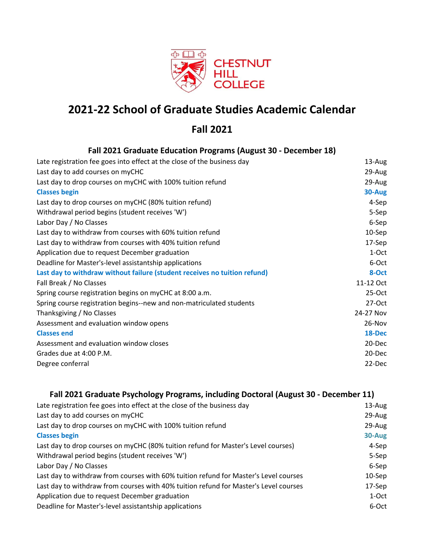

# **2021-22 School of Graduate Studies Academic Calendar**

## **Fall 2021**

| Fall 2021 Graduate Education Programs (August 30 - December 18)           |           |
|---------------------------------------------------------------------------|-----------|
| Late registration fee goes into effect at the close of the business day   | 13-Aug    |
| Last day to add courses on myCHC                                          | 29-Aug    |
| Last day to drop courses on myCHC with 100% tuition refund                | 29-Aug    |
| <b>Classes begin</b>                                                      | 30-Aug    |
| Last day to drop courses on myCHC (80% tuition refund)                    | 4-Sep     |
| Withdrawal period begins (student receives 'W')                           | 5-Sep     |
| Labor Day / No Classes                                                    | 6-Sep     |
| Last day to withdraw from courses with 60% tuition refund                 | 10-Sep    |
| Last day to withdraw from courses with 40% tuition refund                 | 17-Sep    |
| Application due to request December graduation                            | 1-Oct     |
| Deadline for Master's-level assistantship applications                    | 6-Oct     |
| Last day to withdraw without failure (student receives no tuition refund) | 8-Oct     |
| Fall Break / No Classes                                                   | 11-12 Oct |
| Spring course registration begins on myCHC at 8:00 a.m.                   | $25-Oct$  |
| Spring course registration begins--new and non-matriculated students      | $27-Oct$  |
| Thanksgiving / No Classes                                                 | 24-27 Nov |
| Assessment and evaluation window opens                                    | 26-Nov    |
| <b>Classes end</b>                                                        | 18-Dec    |
| Assessment and evaluation window closes                                   | 20-Dec    |
| Grades due at 4:00 P.M.                                                   | $20$ -Dec |
| Degree conferral                                                          | 22-Dec    |

### **Fall 2021 Graduate Psychology Programs, including Doctoral (August 30 - December 11)**

| Late registration fee goes into effect at the close of the business day              | 13-Aug    |
|--------------------------------------------------------------------------------------|-----------|
| Last day to add courses on myCHC                                                     | 29-Aug    |
| Last day to drop courses on myCHC with 100% tuition refund                           | 29-Aug    |
| <b>Classes begin</b>                                                                 | 30-Aug    |
| Last day to drop courses on myCHC (80% tuition refund for Master's Level courses)    | 4-Sep     |
| Withdrawal period begins (student receives 'W')                                      | 5-Sep     |
| Labor Day / No Classes                                                               | 6-Sep     |
| Last day to withdraw from courses with 60% tuition refund for Master's Level courses | $10-$ Sep |
| Last day to withdraw from courses with 40% tuition refund for Master's Level courses | 17-Sep    |
| Application due to request December graduation                                       | 1-Oct     |
| Deadline for Master's-level assistantship applications                               | 6-Oct     |
|                                                                                      |           |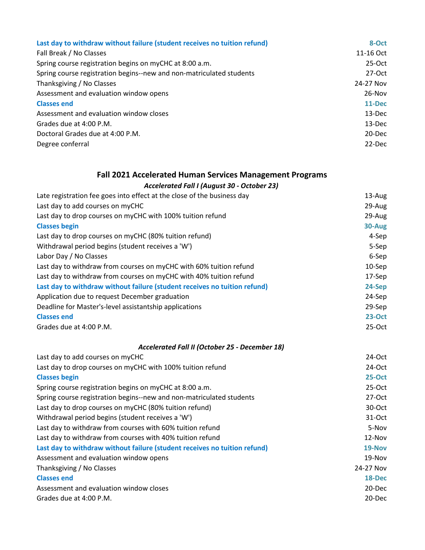| Last day to withdraw without failure (student receives no tuition refund) | 8-Oct      |
|---------------------------------------------------------------------------|------------|
| Fall Break / No Classes                                                   | 11-16 Oct  |
| Spring course registration begins on myCHC at 8:00 a.m.                   | $25-Oct$   |
| Spring course registration begins--new and non-matriculated students      | $27-Oct$   |
| Thanksgiving / No Classes                                                 | 24-27 Nov  |
| Assessment and evaluation window opens                                    | $26-Nov$   |
| <b>Classes end</b>                                                        | 11-Dec     |
| Assessment and evaluation window closes                                   | 13-Dec     |
| Grades due at 4:00 P.M.                                                   | $13-Dec$   |
| Doctoral Grades due at 4:00 P.M.                                          | $20 - Dec$ |
| Degree conferral                                                          | 22-Dec     |

## **Fall 2021 Accelerated Human Services Management Programs**

#### *Accelerated Fall I (August 30 - October 23)*

| Late registration fee goes into effect at the close of the business day   | 13-Aug        |
|---------------------------------------------------------------------------|---------------|
| Last day to add courses on myCHC                                          | 29-Aug        |
| Last day to drop courses on myCHC with 100% tuition refund                | 29-Aug        |
| <b>Classes begin</b>                                                      | 30-Aug        |
| Last day to drop courses on myCHC (80% tuition refund)                    | 4-Sep         |
| Withdrawal period begins (student receives a 'W')                         | 5-Sep         |
| Labor Day / No Classes                                                    | 6-Sep         |
| Last day to withdraw from courses on myCHC with 60% tuition refund        | $10-$ Sep     |
| Last day to withdraw from courses on myCHC with 40% tuition refund        | 17-Sep        |
| Last day to withdraw without failure (student receives no tuition refund) | 24-Sep        |
| Application due to request December graduation                            | 24-Sep        |
| Deadline for Master's-level assistantship applications                    | 29-Sep        |
| <b>Classes end</b>                                                        | <b>23-Oct</b> |
| Grades due at 4:00 P.M.                                                   | $25-Oct$      |
| Accelerated Fall II (October 25 - December 18)                            |               |
| Last day to add courses on myCHC                                          | 24-Oct        |
| Last day to drop courses on myCHC with 100% tuition refund                | 24-Oct        |
| <b>Classes begin</b>                                                      | <b>25-Oct</b> |
| Spring course registration begins on myCHC at 8:00 a.m.                   | 25-Oct        |
| Spring course registration begins--new and non-matriculated students      | 27-Oct        |
| Last day to drop courses on myCHC (80% tuition refund)                    | 30-Oct        |
| Withdrawal period begins (student receives a 'W')                         | 31-Oct        |
| Last day to withdraw from courses with 60% tuition refund                 | 5-Nov         |
| Last day to withdraw from courses with 40% tuition refund                 | 12-Nov        |
| Last day to withdraw without failure (student receives no tuition refund) | 19-Nov        |
| Assessment and evaluation window opens                                    | 19-Nov        |
| Thanksgiving / No Classes                                                 | 24-27 Nov     |
| <b>Classes end</b>                                                        | 18-Dec        |
| Assessment and evaluation window closes                                   | 20-Dec        |

Grades due at 4:00 P.M. 20-Dec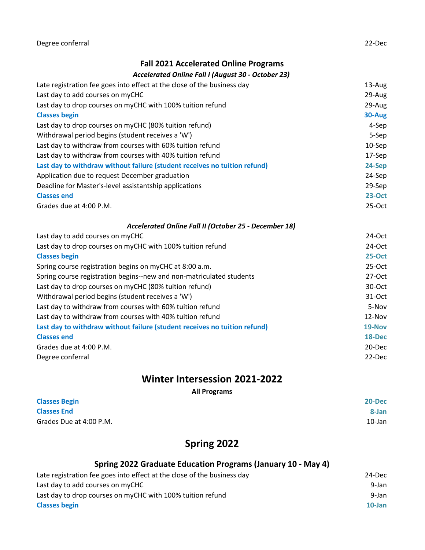#### **Fall 2021 Accelerated Online Programs**

#### *Accelerated Online Fall I (August 30 - October 23)*

| Late registration fee goes into effect at the close of the business day   | 13-Aug        |
|---------------------------------------------------------------------------|---------------|
| Last day to add courses on myCHC                                          | 29-Aug        |
| Last day to drop courses on myCHC with 100% tuition refund                | 29-Aug        |
| <b>Classes begin</b>                                                      | 30-Aug        |
| Last day to drop courses on myCHC (80% tuition refund)                    | 4-Sep         |
| Withdrawal period begins (student receives a 'W')                         | 5-Sep         |
| Last day to withdraw from courses with 60% tuition refund                 | $10-$ Sep     |
| Last day to withdraw from courses with 40% tuition refund                 | 17-Sep        |
| Last day to withdraw without failure (student receives no tuition refund) | 24-Sep        |
| Application due to request December graduation                            | 24-Sep        |
| Deadline for Master's-level assistantship applications                    | 29-Sep        |
| <b>Classes end</b>                                                        | <b>23-Oct</b> |
| Grades due at 4:00 P.M.                                                   | $25-Oct$      |
| Accelerated Online Fall II (October 25 - December 18)                     |               |
| Last day to add courses on myCHC                                          | $24-Oct$      |
| Last day to drop courses on myCHC with 100% tuition refund                | 24-Oct        |
| <b>Classes begin</b>                                                      | $25-Oct$      |
| Spring course registration begins on myCHC at 8:00 a.m.                   | $25-Oct$      |
| Spring course registration begins--new and non-matriculated students      | 27-Oct        |
| Last day to drop courses on myCHC (80% tuition refund)                    | 30-Oct        |
| Withdrawal period begins (student receives a 'W')                         | 31-Oct        |
| Last day to withdraw from courses with 60% tuition refund                 | 5-Nov         |
| Last day to withdraw from courses with 40% tuition refund                 | 12-Nov        |
| Last day to withdraw without failure (student receives no tuition refund) | 19-Nov        |
| <b>Classes end</b>                                                        | 18-Dec        |
| Grades due at 4:00 P.M.                                                   | 20-Dec        |
| Degree conferral                                                          | 22-Dec        |

## **Winter Intersession 2021-2022**

**All Programs**

| <b>Classes Begin</b>    | 20-Dec |
|-------------------------|--------|
| <b>Classes End</b>      | 8-Jan  |
| Grades Due at 4:00 P.M. | 10-Jan |

## **Spring 2022**

## **Spring 2022 Graduate Education Programs (January 10 - May 4)**

| Late registration fee goes into effect at the close of the business day | 24-Dec    |
|-------------------------------------------------------------------------|-----------|
| Last day to add courses on myCHC                                        | 9-Jan     |
| Last day to drop courses on myCHC with 100% tuition refund              | 9-Jan     |
| <b>Classes begin</b>                                                    | $10$ -Jan |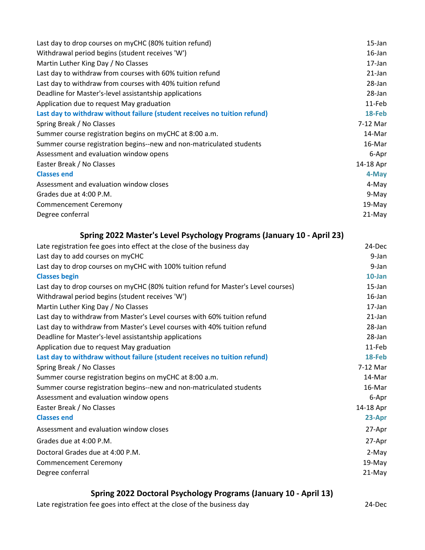| Last day to drop courses on myCHC (80% tuition refund)                    | 15-Jan    |
|---------------------------------------------------------------------------|-----------|
| Withdrawal period begins (student receives 'W')                           | $16$ -Jan |
| Martin Luther King Day / No Classes                                       | 17-Jan    |
| Last day to withdraw from courses with 60% tuition refund                 | $21$ -Jan |
| Last day to withdraw from courses with 40% tuition refund                 | 28-Jan    |
| Deadline for Master's-level assistantship applications                    | 28-Jan    |
| Application due to request May graduation                                 | 11-Feb    |
| Last day to withdraw without failure (student receives no tuition refund) | 18-Feb    |
| Spring Break / No Classes                                                 | 7-12 Mar  |
| Summer course registration begins on myCHC at 8:00 a.m.                   | 14-Mar    |
| Summer course registration begins--new and non-matriculated students      | 16-Mar    |
| Assessment and evaluation window opens                                    | 6-Apr     |
| Easter Break / No Classes                                                 | 14-18 Apr |
| <b>Classes end</b>                                                        | 4-May     |
| Assessment and evaluation window closes                                   | 4-May     |
| Grades due at 4:00 P.M.                                                   | 9-May     |
| <b>Commencement Ceremony</b>                                              | 19-May    |
| Degree conferral                                                          | 21-May    |

| Spring 2022 Master's Level Psychology Programs (January 10 - April 23)            |           |
|-----------------------------------------------------------------------------------|-----------|
| Late registration fee goes into effect at the close of the business day           | $24$ -Dec |
| Last day to add courses on myCHC                                                  | $9$ -Jan  |
| Last day to drop courses on myCHC with 100% tuition refund                        | $9$ -Jan  |
| <b>Classes begin</b>                                                              | $10$ -Jan |
| Last day to drop courses on myCHC (80% tuition refund for Master's Level courses) | $15$ -Jan |
| Withdrawal period begins (student receives 'W')                                   | $16$ -Jan |
| Martin Luther King Day / No Classes                                               | $17$ -Jan |
| Last day to withdraw from Master's Level courses with 60% tuition refund          | $21$ -Jan |
| Last day to withdraw from Master's Level courses with 40% tuition refund          | $28$ -Jan |
| Deadline for Master's-level assistantship applications                            | 28-Jan    |
| Application due to request May graduation                                         | 11-Feb    |
| Last day to withdraw without failure (student receives no tuition refund)         | 18-Feb    |
| Spring Break / No Classes                                                         | 7-12 Mar  |
| Summer course registration begins on myCHC at 8:00 a.m.                           | 14-Mar    |
| Summer course registration begins--new and non-matriculated students              | 16-Mar    |
| Assessment and evaluation window opens                                            | 6-Apr     |
| Easter Break / No Classes                                                         | 14-18 Apr |
| <b>Classes end</b>                                                                | 23-Apr    |
| Assessment and evaluation window closes                                           | 27-Apr    |
| Grades due at 4:00 P.M.                                                           | 27-Apr    |
| Doctoral Grades due at 4:00 P.M.                                                  | 2-May     |
| <b>Commencement Ceremony</b>                                                      | 19-May    |
| Degree conferral                                                                  | 21-May    |

## **Spring 2022 Doctoral Psychology Programs (January 10 - April 13)**

Late registration fee goes into effect at the close of the business day 24-Dec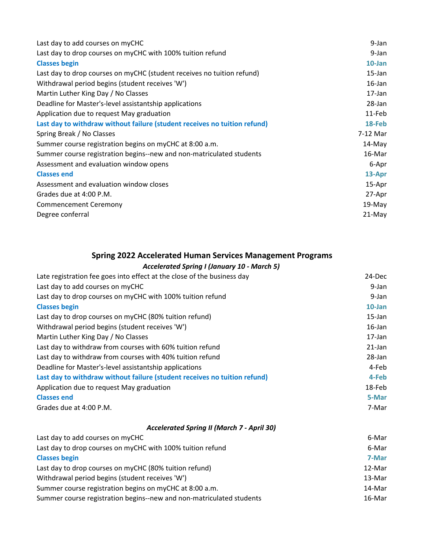| Last day to add courses on myCHC                                          | 9-Jan     |
|---------------------------------------------------------------------------|-----------|
| Last day to drop courses on myCHC with 100% tuition refund                | 9-Jan     |
| <b>Classes begin</b>                                                      | $10$ -Jan |
| Last day to drop courses on myCHC (student receives no tuition refund)    | 15-Jan    |
| Withdrawal period begins (student receives 'W')                           | $16$ -Jan |
| Martin Luther King Day / No Classes                                       | 17-Jan    |
| Deadline for Master's-level assistantship applications                    | 28-Jan    |
| Application due to request May graduation                                 | 11-Feb    |
| Last day to withdraw without failure (student receives no tuition refund) | 18-Feb    |
| Spring Break / No Classes                                                 | 7-12 Mar  |
| Summer course registration begins on myCHC at 8:00 a.m.                   | 14-May    |
| Summer course registration begins--new and non-matriculated students      | 16-Mar    |
| Assessment and evaluation window opens                                    | 6-Apr     |
| <b>Classes end</b>                                                        | 13-Apr    |
| Assessment and evaluation window closes                                   | 15-Apr    |
| Grades due at 4:00 P.M.                                                   | 27-Apr    |
| <b>Commencement Ceremony</b>                                              | 19-May    |
| Degree conferral                                                          | 21-May    |

#### **Spring 2022 Accelerated Human Services Management Programs**

#### *Accelerated Spring I (January 10 - March 5)*

| Late registration fee goes into effect at the close of the business day   | 24-Dec    |
|---------------------------------------------------------------------------|-----------|
| Last day to add courses on myCHC                                          | 9-Jan     |
| Last day to drop courses on myCHC with 100% tuition refund                | 9-Jan     |
| <b>Classes begin</b>                                                      | $10$ -Jan |
| Last day to drop courses on myCHC (80% tuition refund)                    | $15$ -Jan |
| Withdrawal period begins (student receives 'W')                           | $16$ -Jan |
| Martin Luther King Day / No Classes                                       | 17-Jan    |
| Last day to withdraw from courses with 60% tuition refund                 | $21$ -Jan |
| Last day to withdraw from courses with 40% tuition refund                 | 28-Jan    |
| Deadline for Master's-level assistantship applications                    | 4-Feb     |
| Last day to withdraw without failure (student receives no tuition refund) | 4-Feb     |
| Application due to request May graduation                                 | 18-Feb    |
| <b>Classes end</b>                                                        | 5-Mar     |
| Grades due at 4:00 P.M.                                                   | 7-Mar     |
| <b>Accelerated Spring II (March 7 - April 30)</b>                         |           |
| Last day to add courses on myCHC                                          | 6-Mar     |
| Last day to drop courses on myCHC with 100% tuition refund                | 6-Mar     |
| <b>Classes begin</b>                                                      | 7-Mar     |
| Last day to drop courses on myCHC (80% tuition refund)                    | 12-Mar    |
| Withdrawal period begins (student receives 'W')                           | 13-Mar    |
| Summer course registration begins on myCHC at 8:00 a.m.                   | 14-Mar    |

Summer course registration begins--new and non-matriculated students 16 matriculated 50 matriculated students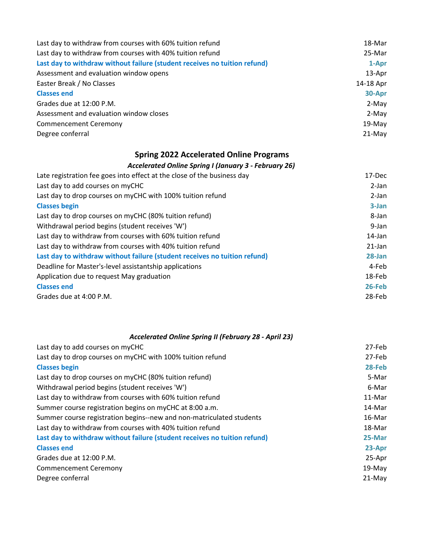| Last day to withdraw from courses with 60% tuition refund                 | 18-Mar    |
|---------------------------------------------------------------------------|-----------|
| Last day to withdraw from courses with 40% tuition refund                 | 25-Mar    |
| Last day to withdraw without failure (student receives no tuition refund) | 1-Apr     |
| Assessment and evaluation window opens                                    | 13-Apr    |
| Easter Break / No Classes                                                 | 14-18 Apr |
| <b>Classes end</b>                                                        | 30-Apr    |
| Grades due at 12:00 P.M.                                                  | 2-May     |
| Assessment and evaluation window closes                                   | 2-May     |
| <b>Commencement Ceremony</b>                                              | $19-May$  |
| Degree conferral                                                          | $21-May$  |
|                                                                           |           |

## **Spring 2022 Accelerated Online Programs**

#### *Accelerated Online Spring I (January 3 - February 26)*

| Late registration fee goes into effect at the close of the business day   | 17-Dec    |
|---------------------------------------------------------------------------|-----------|
| Last day to add courses on myCHC                                          | $2-Ian$   |
| Last day to drop courses on myCHC with 100% tuition refund                | $2$ -Jan  |
| <b>Classes begin</b>                                                      | $3$ -Jan  |
| Last day to drop courses on myCHC (80% tuition refund)                    | 8-Jan     |
| Withdrawal period begins (student receives 'W')                           | 9-Jan     |
| Last day to withdraw from courses with 60% tuition refund                 | 14-Jan    |
| Last day to withdraw from courses with 40% tuition refund                 | $21$ -Jan |
| Last day to withdraw without failure (student receives no tuition refund) | $28$ -Jan |
| Deadline for Master's-level assistantship applications                    | 4-Feb     |
| Application due to request May graduation                                 | 18-Feb    |
| <b>Classes end</b>                                                        | $26$ -Feb |
| Grades due at 4:00 P.M.                                                   | 28-Feb    |

| Accelerated Online Spring II (February 28 - April 23)                     |          |
|---------------------------------------------------------------------------|----------|
| Last day to add courses on myCHC                                          | 27-Feb   |
| Last day to drop courses on myCHC with 100% tuition refund                | 27-Feb   |
| <b>Classes begin</b>                                                      | 28-Feb   |
| Last day to drop courses on myCHC (80% tuition refund)                    | 5-Mar    |
| Withdrawal period begins (student receives 'W')                           | 6-Mar    |
| Last day to withdraw from courses with 60% tuition refund                 | 11-Mar   |
| Summer course registration begins on myCHC at 8:00 a.m.                   | 14-Mar   |
| Summer course registration begins--new and non-matriculated students      | 16-Mar   |
| Last day to withdraw from courses with 40% tuition refund                 | 18-Mar   |
| Last day to withdraw without failure (student receives no tuition refund) | 25-Mar   |
| <b>Classes end</b>                                                        | 23-Apr   |
| Grades due at 12:00 P.M.                                                  | 25-Apr   |
| <b>Commencement Ceremony</b>                                              | $19-May$ |
| Degree conferral                                                          | $21-May$ |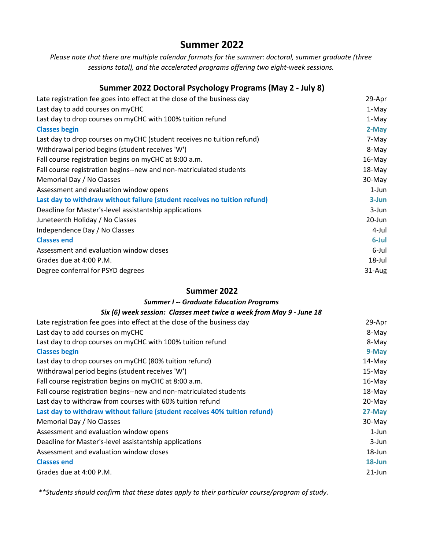## **Summer 2022**

*Please note that there are multiple calendar formats for the summer: doctoral, summer graduate (three sessions total), and the accelerated programs offering two eight-week sessions.*

#### **Summer 2022 Doctoral Psychology Programs (May 2 - July 8)**

| Late registration fee goes into effect at the close of the business day   | 29-Apr    |
|---------------------------------------------------------------------------|-----------|
| Last day to add courses on myCHC                                          | 1-May     |
| Last day to drop courses on myCHC with 100% tuition refund                | 1-May     |
| <b>Classes begin</b>                                                      | 2-May     |
| Last day to drop courses on myCHC (student receives no tuition refund)    | 7-May     |
| Withdrawal period begins (student receives 'W')                           | 8-May     |
| Fall course registration begins on myCHC at 8:00 a.m.                     | 16-May    |
| Fall course registration begins--new and non-matriculated students        | 18-May    |
| Memorial Day / No Classes                                                 | 30-May    |
| Assessment and evaluation window opens                                    | $1$ -Jun  |
| Last day to withdraw without failure (student receives no tuition refund) | $3 - Jun$ |
| Deadline for Master's-level assistantship applications                    | 3-Jun     |
| Juneteenth Holiday / No Classes                                           | 20-Jun    |
| Independence Day / No Classes                                             | 4-Jul     |
| <b>Classes end</b>                                                        | 6-Jul     |
| Assessment and evaluation window closes                                   | 6-Jul     |
| Grades due at 4:00 P.M.                                                   | 18-Jul    |
| Degree conferral for PSYD degrees                                         | 31-Aug    |

#### **Summer 2022**

| <b>Summer I -- Graduate Education Programs</b>                             |           |
|----------------------------------------------------------------------------|-----------|
| Six (6) week session: Classes meet twice a week from May 9 - June 18       |           |
| Late registration fee goes into effect at the close of the business day    | 29-Apr    |
| Last day to add courses on myCHC                                           | 8-May     |
| Last day to drop courses on myCHC with 100% tuition refund                 | 8-May     |
| <b>Classes begin</b>                                                       | 9-May     |
| Last day to drop courses on myCHC (80% tuition refund)                     | 14-May    |
| Withdrawal period begins (student receives 'W')                            | 15-May    |
| Fall course registration begins on myCHC at 8:00 a.m.                      | 16-May    |
| Fall course registration begins--new and non-matriculated students         | 18-May    |
| Last day to withdraw from courses with 60% tuition refund                  | 20-May    |
| Last day to withdraw without failure (student receives 40% tuition refund) | 27-May    |
| Memorial Day / No Classes                                                  | 30-May    |
| Assessment and evaluation window opens                                     | $1$ -Jun  |
| Deadline for Master's-level assistantship applications                     | 3-Jun     |
| Assessment and evaluation window closes                                    | 18-Jun    |
| <b>Classes end</b>                                                         | 18-Jun    |
| Grades due at 4:00 P.M.                                                    | $21$ -Jun |

*\*\*Students should confirm that these dates apply to their particular course/program of study.*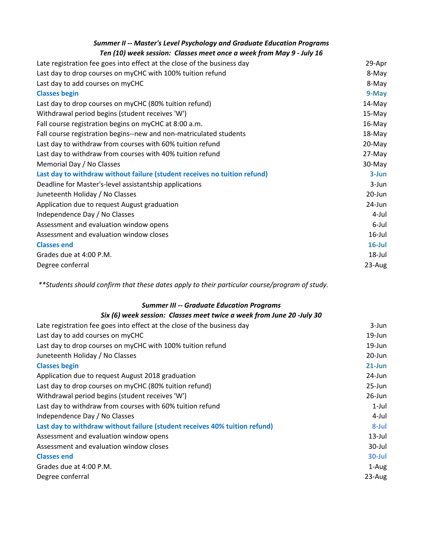| <b>Summer II -- Master's Level Psychology and Graduate Education Programs</b><br>Ten (10) week session: Classes meet once a week from May 9 - July 16 |           |
|-------------------------------------------------------------------------------------------------------------------------------------------------------|-----------|
| Late registration fee goes into effect at the close of the business day                                                                               | 29-Apr    |
| Last day to drop courses on myCHC with 100% tuition refund                                                                                            | 8-May     |
| Last day to add courses on myCHC                                                                                                                      | 8-May     |
| <b>Classes begin</b>                                                                                                                                  | 9-May     |
| Last day to drop courses on myCHC (80% tuition refund)                                                                                                | 14-May    |
| Withdrawal period begins (student receives 'W')                                                                                                       | 15-May    |
| Fall course registration begins on myCHC at 8:00 a.m.                                                                                                 | 16-May    |
| Fall course registration begins--new and non-matriculated students                                                                                    | 18-May    |
| Last day to withdraw from courses with 60% tuition refund                                                                                             | 20-May    |
| Last day to withdraw from courses with 40% tuition refund                                                                                             | 27-May    |
| Memorial Day / No Classes                                                                                                                             | 30-May    |
| Last day to withdraw without failure (student receives no tuition refund)                                                                             | 3-Jun     |
| Deadline for Master's-level assistantship applications                                                                                                | 3-Jun     |
| Juneteenth Holiday / No Classes                                                                                                                       | 20-Jun    |
| Application due to request August graduation                                                                                                          | 24-Jun    |
| Independence Day / No Classes                                                                                                                         | 4-Jul     |
| Assessment and evaluation window opens                                                                                                                | 6-Jul     |
| Assessment and evaluation window closes                                                                                                               | $16$ -Jul |
| <b>Classes end</b>                                                                                                                                    | $16$ -Jul |
| Grades due at 4:00 P.M.                                                                                                                               | 18-Jul    |
| Degree conferral                                                                                                                                      | 23-Aug    |

*\*\*Students should confirm that these dates apply to their particular course/program of study.* 

#### *Summer III -- Graduate Education Programs*

| Six (6) week session: Classes meet twice a week from June 20 -July 30      |            |
|----------------------------------------------------------------------------|------------|
| Late registration fee goes into effect at the close of the business day    | 3-Jun      |
| Last day to add courses on myCHC                                           | 19-Jun     |
| Last day to drop courses on myCHC with 100% tuition refund                 | 19-Jun     |
| Juneteenth Holiday / No Classes                                            | 20-Jun     |
| <b>Classes begin</b>                                                       | $21$ -Jun  |
| Application due to request August 2018 graduation                          | $24$ -Jun  |
| Last day to drop courses on myCHC (80% tuition refund)                     | $25 - Jun$ |
| Withdrawal period begins (student receives 'W')                            | $26$ -Jun  |
| Last day to withdraw from courses with 60% tuition refund                  | $1$ -Jul   |
| Independence Day / No Classes                                              | 4-Jul      |
| Last day to withdraw without failure (student receives 40% tuition refund) | 8-Jul      |
| Assessment and evaluation window opens                                     | $13$ -Jul  |
| Assessment and evaluation window closes                                    | 30-Jul     |
| <b>Classes end</b>                                                         | 30-Jul     |
| Grades due at 4:00 P.M.                                                    | 1-Aug      |
| Degree conferral                                                           | $23$ -Aug  |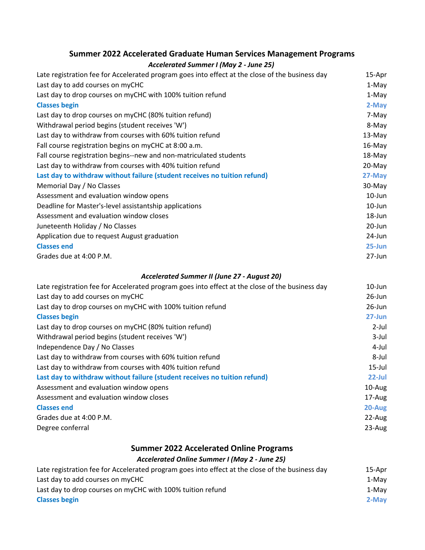## **Summer 2022 Accelerated Graduate Human Services Management Programs**

#### *Accelerated Summer I (May 2 - June 25)*

| Late registration fee for Accelerated program goes into effect at the close of the business day | 15-Apr     |
|-------------------------------------------------------------------------------------------------|------------|
| Last day to add courses on myCHC                                                                | 1-May      |
| Last day to drop courses on myCHC with 100% tuition refund                                      | 1-May      |
| <b>Classes begin</b>                                                                            | 2-May      |
| Last day to drop courses on myCHC (80% tuition refund)                                          | 7-May      |
| Withdrawal period begins (student receives 'W')                                                 | 8-May      |
| Last day to withdraw from courses with 60% tuition refund                                       | 13-May     |
| Fall course registration begins on myCHC at 8:00 a.m.                                           | 16-May     |
| Fall course registration begins--new and non-matriculated students                              | 18-May     |
| Last day to withdraw from courses with 40% tuition refund                                       | 20-May     |
| Last day to withdraw without failure (student receives no tuition refund)                       | 27-May     |
| Memorial Day / No Classes                                                                       | 30-May     |
| Assessment and evaluation window opens                                                          | $10$ -Jun  |
| Deadline for Master's-level assistantship applications                                          | $10$ -Jun  |
| Assessment and evaluation window closes                                                         | 18-Jun     |
| Juneteenth Holiday / No Classes                                                                 | $20 - Jun$ |
| Application due to request August graduation                                                    | 24-Jun     |
| <b>Classes end</b>                                                                              | $25 - Jun$ |
| Grades due at 4:00 P.M.                                                                         | 27-Jun     |
| Accelerated Summer II (June 27 - August 20)                                                     |            |
| Late registration fee for Accelerated program goes into effect at the close of the business day | $10 - Jun$ |
| Last day to add courses on myCHC                                                                | $26$ -Jun  |
| Last day to drop courses on myCHC with 100% tuition refund                                      | $26$ -Jun  |
| <b>Classes begin</b>                                                                            | $27 - Jun$ |

| Last day to drop courses on myCHC (80% tuition refund)                    | 2-Jul     |
|---------------------------------------------------------------------------|-----------|
| Withdrawal period begins (student receives 'W')                           | $3$ -Jul  |
| Independence Day / No Classes                                             | 4-Jul     |
| Last day to withdraw from courses with 60% tuition refund                 | 8-Jul     |
| Last day to withdraw from courses with 40% tuition refund                 | $15$ -Jul |
| Last day to withdraw without failure (student receives no tuition refund) | $22$ -Jul |
| Assessment and evaluation window opens                                    | 10-Aug    |
| Assessment and evaluation window closes                                   | 17-Aug    |
| <b>Classes end</b>                                                        | 20-Aug    |
| Grades due at 4:00 P.M.                                                   | 22-Aug    |
| Degree conferral                                                          | $23$ -Aug |
|                                                                           |           |

### **Summer 2022 Accelerated Online Programs**

#### *Accelerated Online Summer I (May 2 - June 25)*

| Late registration fee for Accelerated program goes into effect at the close of the business day | 15-Apr |
|-------------------------------------------------------------------------------------------------|--------|
| Last day to add courses on myCHC                                                                | 1-May  |
| Last day to drop courses on myCHC with 100% tuition refund                                      | 1-May  |
| <b>Classes begin</b>                                                                            | 2-May  |